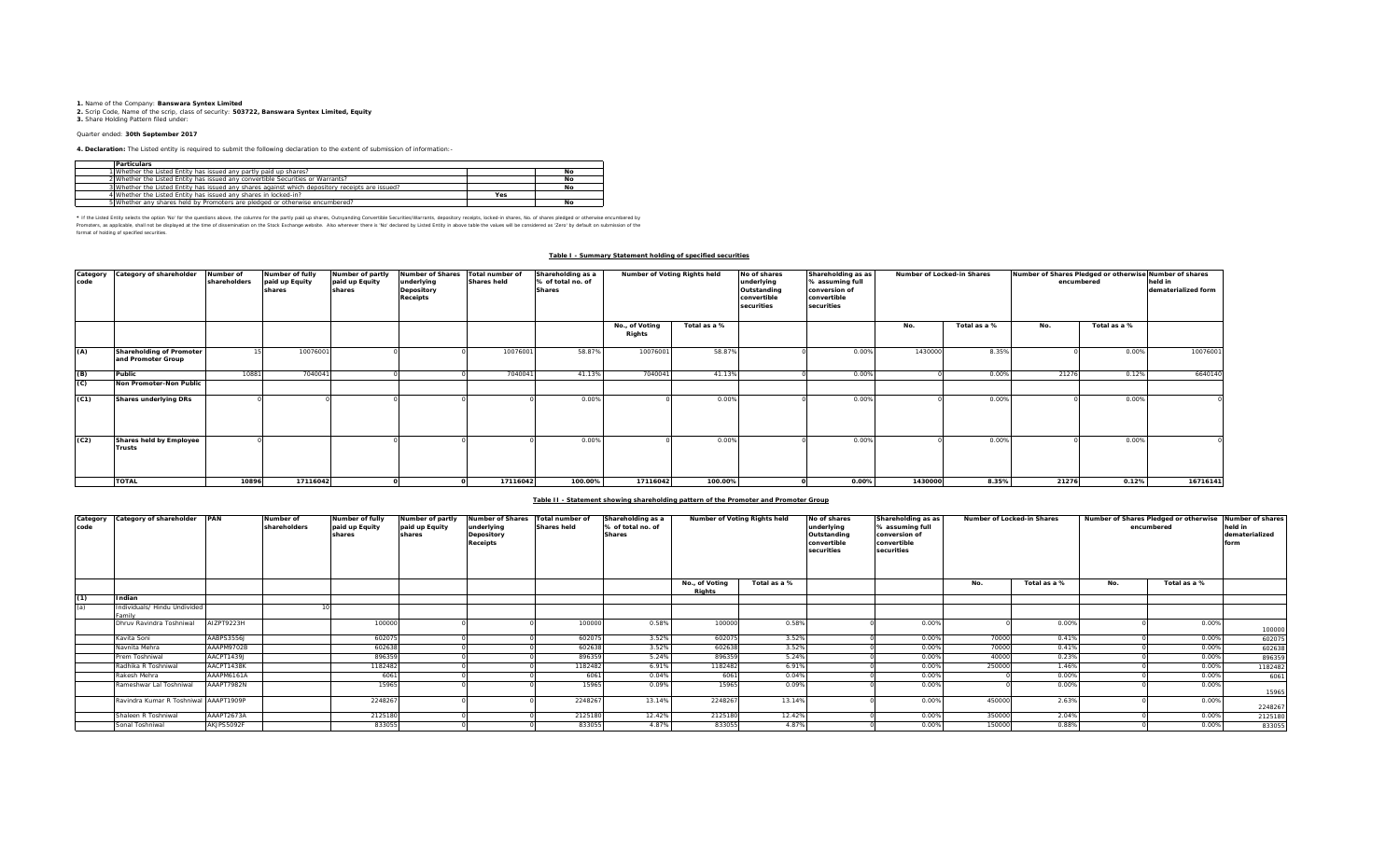**1.** Name of the Company: **Banswara Syntex Limited 2.** Scrip Code, Name of the scrip, class of security: **503722, Banswara Syntex Limited, Equity 3.** Share Holding Pattern filed under:

# Quarter ended: **30th September 2017**

**4. Declaration:** The Listed entity is required to submit the following declaration to the extent of submission of information:-

| <b>Particulars</b>                                                                              |     |    |
|-------------------------------------------------------------------------------------------------|-----|----|
| 1 Whether the Listed Entity has issued any partly paid up shares?                               |     | No |
| 2 Whether the Listed Entity has issued any convertible Securities or Warrants?                  |     | No |
| 3 Whether the Listed Entity has issued any shares against which depository receipts are issued? |     | No |
| 4 Whether the Listed Entity has issued any shares in locked-in?                                 | Yes |    |
| 5 Whether any shares held by Promoters are pledged or otherwise encumbered?                     |     | No |

\* If ne Listed Ently selects ine opton War for the equasitons above, the outwars for the partly share, Quityandng Convertible Securities/Warrants, depository receipts, boked-in shares, No. of shares predget or otherwise in format of holding of specified securities.

### **Table I - Summary Statement holding of specified securities**

| code | Category Category of shareholder               | Number of<br>shareholders | Number of fully<br>paid up Equity<br>shares | Number of partly<br>paid up Equity<br>shares | Number of Shares Total number of<br>underlying<br>Depository<br><b>Receipts</b> | <b>Shares held</b> | Shareholding as a<br>% of total no. of<br><b>Shares</b> |                          | Number of Voting Rights held<br>No of shares<br>underlying<br>Outstanding<br>convertible<br>securities |  | Shareholding as as<br>% assuming full<br>conversion of<br>convertible<br>securities |         | Number of Locked-in Shares |       | Number of Shares Pledged or otherwise Number of shares<br>held in<br>encumbered<br>dematerialized form |          |
|------|------------------------------------------------|---------------------------|---------------------------------------------|----------------------------------------------|---------------------------------------------------------------------------------|--------------------|---------------------------------------------------------|--------------------------|--------------------------------------------------------------------------------------------------------|--|-------------------------------------------------------------------------------------|---------|----------------------------|-------|--------------------------------------------------------------------------------------------------------|----------|
|      |                                                |                           |                                             |                                              |                                                                                 |                    |                                                         | No., of Voting<br>Rights | Total as a %                                                                                           |  |                                                                                     | No.     | Total as a %               | No.   | Total as a %                                                                                           |          |
| (A)  | Shareholding of Promoter<br>and Promoter Group |                           | 10076001                                    |                                              |                                                                                 | 10076001           | 58.87%                                                  | 10076001                 | 58.87%                                                                                                 |  | 0.00%                                                                               | 1430000 | 8.35%                      |       | 0.00%                                                                                                  | 10076001 |
| (B)  | Public                                         | 10881                     | 7040041                                     |                                              |                                                                                 | 7040041            | 41.13%                                                  | 7040041                  | 41.13%                                                                                                 |  | 0.00%                                                                               |         | 0.00%                      | 21276 | 0.12%                                                                                                  | 6640140  |
| (C)  | Non Promoter-Non Public                        |                           |                                             |                                              |                                                                                 |                    |                                                         |                          |                                                                                                        |  |                                                                                     |         |                            |       |                                                                                                        |          |
| (C1) | <b>Shares underlying DRs</b>                   |                           |                                             |                                              |                                                                                 |                    | 0.00%                                                   |                          | 0.00%                                                                                                  |  | 0.00%                                                                               |         | 0.00%                      |       | 0.00%                                                                                                  |          |
| (C2) | Shares held by Employee<br><b>Trusts</b>       |                           |                                             |                                              |                                                                                 |                    | 0.00%                                                   |                          | 0.00%                                                                                                  |  | 0.00%                                                                               |         | 0.00%                      |       | 0.00%                                                                                                  |          |
|      | <b>TOTAL</b>                                   | 10896                     | 17116042                                    |                                              |                                                                                 | 17116042           | 100.00%                                                 | 17116042                 | 100.00%                                                                                                |  | 0.00%                                                                               | 1430000 | 8.35%                      | 21276 | 0.12%                                                                                                  | 16716141 |

### **Table II - Statement showing shareholding pattern of the Promoter and Promoter Group**

| code | Category Category of shareholder PAN   |            | Number of<br>shareholders | Number of fully<br>paid up Equity<br>shares | Number of partly<br>paid up Equity<br>shares | <b>Number of Shares</b><br>underlying<br>Depository<br><b>Receipts</b> | Total number of<br><b>Shares held</b> | Shareholding as a<br>% of total no. of<br><b>Shares</b> | Number of Voting Rights held |              | No of shares<br>Shareholding as as<br>underlying<br>% assuming full<br>conversion of<br>Outstanding<br>convertible<br>convertible<br>securities<br>securities |       | Number of Locked-in Shares |              | Number of Shares Pledged or otherwise<br>encumbered |              | Number of shares<br>held in<br>dematerialized<br>form |
|------|----------------------------------------|------------|---------------------------|---------------------------------------------|----------------------------------------------|------------------------------------------------------------------------|---------------------------------------|---------------------------------------------------------|------------------------------|--------------|---------------------------------------------------------------------------------------------------------------------------------------------------------------|-------|----------------------------|--------------|-----------------------------------------------------|--------------|-------------------------------------------------------|
|      |                                        |            |                           |                                             |                                              |                                                                        |                                       |                                                         | No., of Voting<br>Riahts     | Total as a % |                                                                                                                                                               |       | No.                        | Total as a % | No.                                                 | Total as a % |                                                       |
| (1)  | Indian                                 |            |                           |                                             |                                              |                                                                        |                                       |                                                         |                              |              |                                                                                                                                                               |       |                            |              |                                                     |              |                                                       |
| (a)  | Individuals/ Hindu Undivided<br>'amil' |            |                           |                                             |                                              |                                                                        |                                       |                                                         |                              |              |                                                                                                                                                               |       |                            |              |                                                     |              |                                                       |
|      | Dhruy Ravindra Toshniwal               | AIZPT9223H |                           | 100000                                      |                                              |                                                                        | 100000                                | 0.58%                                                   | 100000                       | 0.58%        |                                                                                                                                                               | 0.00% |                            | 0.00%        |                                                     | 0.00%        | 100000                                                |
|      | Kavita Soni                            | AABPS3556J |                           | 602075                                      |                                              |                                                                        | 60207                                 | 3.52%                                                   | 602075                       | 3.52%        |                                                                                                                                                               | 0.00% | 70000                      | 0.41%        |                                                     | 0.00%        | 602075                                                |
|      | Navnita Mehra                          | AAAPM9702B |                           | 602638                                      |                                              |                                                                        | 602638                                | 3.52%                                                   | 602638                       | 3.52%        |                                                                                                                                                               | 0.00% | 70000                      | 0.41%        |                                                     | 0.00%        | 602638                                                |
|      | Prem Toshniwal                         | AACPT1439J |                           | 896359                                      |                                              |                                                                        | 896359                                | 5.24%                                                   | 896359                       | 5.24%        |                                                                                                                                                               | 0.00% | 40000                      | 0.23%        |                                                     | 0.00%        | 896359                                                |
|      | Radhika R Toshniwal                    | AACPT1438K |                           | 1182482                                     |                                              |                                                                        | 1182482                               | 6.91%                                                   | 1182482                      | 6.91%        |                                                                                                                                                               | 0.00% | 250000                     | 1.46%        |                                                     | 0.00%        | 1182482                                               |
|      | Rakesh Mehra                           | AAAPM6161A |                           | 6061                                        |                                              |                                                                        | 6061                                  | 0.04%                                                   | 6061                         | 0.04%        |                                                                                                                                                               | 0.00% |                            | 0.00%        |                                                     | 0.00%        | 6061                                                  |
|      | Rameshwar Lal Toshniwal                | AAAPT7982N |                           | 15965                                       |                                              |                                                                        | 15965                                 | 0.09%                                                   | 15965                        | 0.09%        |                                                                                                                                                               | 0.00% |                            | 0.00%        |                                                     | 0.00%        | 15965                                                 |
|      | Ravindra Kumar R Toshniwal AAAPT1909P  |            |                           | 2248267                                     |                                              |                                                                        | 2248267                               | 13.14%                                                  | 2248267                      | 13.14%       |                                                                                                                                                               | 0.00% | 450000                     | 2.63%        |                                                     | 0.00%        | 2248267                                               |
|      | Shaleen R Toshniwal                    | AAAPT2673A |                           | 2125180                                     |                                              |                                                                        | 2125180                               | 12.42%                                                  | 2125180                      | 12.42%       |                                                                                                                                                               | 0.00% | 350000                     | 2.04%        |                                                     | 0.00%        | 2125180                                               |
|      | Sonal Toshniwal                        | AKJPS5092F |                           | 833055                                      |                                              |                                                                        | 833055                                | 4.87%                                                   | 833055                       | 4.87%        |                                                                                                                                                               | 0.00% | 150000                     | 0.88%        |                                                     | 0.00%        | 833055                                                |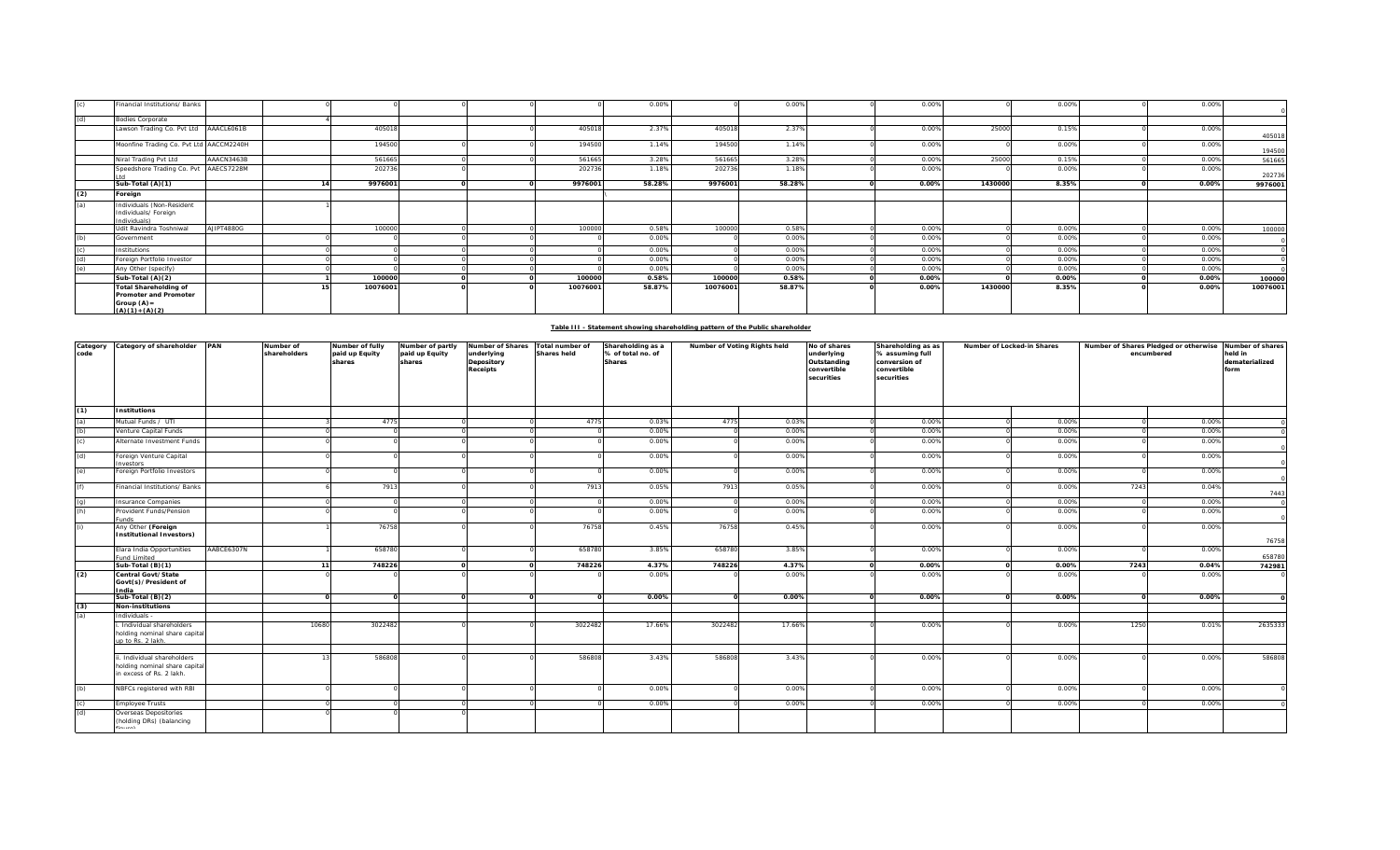|     | Financial Institutions/ Banks                                                                      |            |          |  |          | 0.00%  |          | 0.00%  | 0.00% |         | 0.00% | 0.00% |          |
|-----|----------------------------------------------------------------------------------------------------|------------|----------|--|----------|--------|----------|--------|-------|---------|-------|-------|----------|
| (d) | <b>Bodies Corporate</b>                                                                            |            |          |  |          |        |          |        |       |         |       |       |          |
|     | Lawson Trading Co. Pvt Ltd AAACL6061B                                                              |            | 405018   |  | 405018   | 2.37%  | 405018   | 2.37%  | 0.00% | 25000   | 0.15% | 0.00% | 405018   |
|     | Moonfine Trading Co. Pvt Ltd AACCM2240H                                                            |            | 194500   |  | 194500   | 1.14%  | 194500   | 1.14%  | 0.00% |         | 0.00% | 0.00% | 194500   |
|     | Niral Trading Pvt Ltd                                                                              | AAACN3463B | 561665   |  | 561665   | 3.28%  | 561665   | 3.28%  | 0.00% | 25000   | 0.15% | 0.00% | 561665   |
|     | Speedshore Trading Co. Pvt AAECS7228M                                                              |            | 202736   |  | 202736   | 1.18%  | 202736   | 1.18%  | 0.00% |         | 0.00% | 0.00% | 202736   |
|     | Sub-Total (A)(1)                                                                                   |            | 9976001  |  | 9976001  | 58.28% | 9976001  | 58.28% | 0.00% | 1430000 | 8.35% | 0.00% | 9976001  |
| (2) | Foreign                                                                                            |            |          |  |          |        |          |        |       |         |       |       |          |
| (a) | Individuals (Non-Resident<br>Individuals/ Foreign<br>Individuals)                                  |            |          |  |          |        |          |        |       |         |       |       |          |
|     | Udit Ravindra Toshniwal                                                                            | AJIPT4880G | 100000   |  | 100000   | 0.58%  | 100000   | 0.58%  | 0.00% |         | 0.00% | 0.00% | 100000   |
| (b) | Government                                                                                         |            |          |  |          | 0.00%  |          | 0.00%  | 0.00% |         | 0.00% | 0.00% |          |
|     | Institutions                                                                                       |            |          |  |          | 0.00%  |          | 0.00%  | 0.00% |         | 0.00% | 0.00% |          |
| (d) | Foreign Portfolio Investor                                                                         |            |          |  |          | 0.00%  |          | 0.00%  | 0.00% |         | 0.00% | 0.00% |          |
| (e) | Any Other (specify)                                                                                |            |          |  |          | 0.00%  |          | 0.00%  | 0.00% |         | 0.00% | 0.00% |          |
|     | Sub-Total (A)(2)                                                                                   |            | 100000   |  | 100000   | 0.58%  | 100000   | 0.58%  | 0.00% |         | 0.00% | 0.00% | 100000   |
|     | <b>Total Shareholding of</b><br><b>Promoter and Promoter</b><br>Group $(A)$ =<br>$(A)(1) + (A)(2)$ |            | 10076001 |  | 10076001 | 58.87% | 10076001 | 58.87% | 0.00% | 1430000 | 8.35% | 0.00% | 10076001 |

| Table III - Statement showing shareholding pattern of the Public shareholder |
|------------------------------------------------------------------------------|
|                                                                              |
|                                                                              |

| Category<br>code  | Category of shareholder PAN                                                             |            | Number of<br>shareholders | Number of fully<br>paid up Equity<br>shares | Number of partly<br>paid up Equity<br>shares | <b>Number of Shares</b><br>underlying<br>Depository<br><b>Receipts</b> | Total number of<br><b>Shares held</b> | Shareholding as a<br>% of total no. of<br><b>Shares</b> | Number of Voting Rights held |        | No of shares<br>Shareholding as as<br>underlying<br>% assuming full<br>Outstanding<br>conversion of<br>convertible<br>convertible<br>securities<br>securities |       | Number of Locked-in Shares |       | Number of Shares Pledged or otherwise<br>encumbered |       | Number of shares<br>held in<br>dematerialized<br>form |
|-------------------|-----------------------------------------------------------------------------------------|------------|---------------------------|---------------------------------------------|----------------------------------------------|------------------------------------------------------------------------|---------------------------------------|---------------------------------------------------------|------------------------------|--------|---------------------------------------------------------------------------------------------------------------------------------------------------------------|-------|----------------------------|-------|-----------------------------------------------------|-------|-------------------------------------------------------|
| (1)               | <b>Institutions</b>                                                                     |            |                           |                                             |                                              |                                                                        |                                       |                                                         |                              |        |                                                                                                                                                               |       |                            |       |                                                     |       |                                                       |
| (a)               | Mutual Funds / UTI                                                                      |            |                           | 4775                                        |                                              |                                                                        | 4775                                  | 0.03%                                                   | 4775                         | 0.03%  |                                                                                                                                                               | 0.00% |                            | 0.00% |                                                     | 0.00% |                                                       |
| (b)               | Venture Capital Funds                                                                   |            |                           |                                             |                                              |                                                                        |                                       | 0.00%                                                   |                              | 0.00%  |                                                                                                                                                               | 0.00% |                            | 0.00% |                                                     | 0.00% |                                                       |
| (c)               | Alternate Investment Funds                                                              |            |                           |                                             |                                              |                                                                        |                                       | 0.00%                                                   |                              | 0.00%  |                                                                                                                                                               | 0.00% |                            | 0.00% |                                                     | 0.00% |                                                       |
| (d)               | Foreign Venture Capital<br>avestors                                                     |            |                           |                                             |                                              |                                                                        |                                       | 0.00%                                                   |                              | 0.00%  |                                                                                                                                                               | 0.00% |                            | 0.00% |                                                     | 0.00% |                                                       |
| (e)               | Foreign Portfolio Investors                                                             |            |                           |                                             |                                              |                                                                        |                                       | 0.00%                                                   |                              | 0.00%  |                                                                                                                                                               | 0.00% |                            | 0.00% |                                                     | 0.00% |                                                       |
| (f)               | Financial Institutions/ Banks                                                           |            |                           | 7913                                        |                                              |                                                                        | 7913                                  | 0.05%                                                   | 7913                         | 0.05%  |                                                                                                                                                               | 0.00% |                            | 0.00% | 7243                                                | 0.04% | 7443                                                  |
|                   | Insurance Companies                                                                     |            |                           |                                             |                                              |                                                                        |                                       | 0.00%                                                   |                              | 0.00%  |                                                                                                                                                               | 0.00% |                            | 0.00% |                                                     | 0.00% |                                                       |
| $\frac{g}{h}$     | Provident Funds/Pension<br>Funds                                                        |            |                           |                                             |                                              |                                                                        |                                       | 0.00%                                                   |                              | 0.00%  |                                                                                                                                                               | 0.00% |                            | 0.00% |                                                     | 0.00% |                                                       |
| (i)               | Any Other (Foreign<br><b>Institutional Investors)</b>                                   |            |                           | 76758                                       |                                              |                                                                        | 76758                                 | 0.45%                                                   | 76758                        | 0.45%  |                                                                                                                                                               | 0.00% |                            | 0.00% |                                                     | 0.00% | 76758                                                 |
|                   | Elara India Opportunities<br>und Limited                                                | AABCE6307N |                           | 658780                                      |                                              |                                                                        | 658780                                | 3.85%                                                   | 658780                       | 3.85%  |                                                                                                                                                               | 0.00% |                            | 0.00% |                                                     | 0.00% | 658780                                                |
|                   | Sub-Total (B)(1)                                                                        |            |                           | 748226                                      |                                              |                                                                        | 748226                                | 4.37%                                                   | 748226                       | 4.37%  |                                                                                                                                                               | 0.00% |                            | 0.00% | 7243                                                | 0.04% | 742981                                                |
| (2)               | Central Govt/State<br>Govt(s)/President of<br>India                                     |            |                           |                                             |                                              |                                                                        |                                       | 0.00%                                                   |                              | 0.00%  |                                                                                                                                                               | 0.00% |                            | 0.00% |                                                     | 0.00% |                                                       |
|                   | Sub-Total (B)(2)                                                                        |            |                           |                                             |                                              |                                                                        |                                       | 0.00%                                                   |                              | 0.00%  |                                                                                                                                                               | 0.00% |                            | 0.00% |                                                     | 0.00% |                                                       |
| $\frac{(3)}{(a)}$ | <b>Non-institutions</b>                                                                 |            |                           |                                             |                                              |                                                                        |                                       |                                                         |                              |        |                                                                                                                                                               |       |                            |       |                                                     |       |                                                       |
|                   | Individuals -                                                                           |            |                           |                                             |                                              |                                                                        |                                       |                                                         |                              |        |                                                                                                                                                               |       |                            |       |                                                     |       |                                                       |
|                   | i. Individual shareholders<br>holding nominal share capital<br>up to Rs. 2 lakh.        |            | 10680                     | 3022482                                     |                                              |                                                                        | 3022482                               | 17.66%                                                  | 3022482                      | 17.66% |                                                                                                                                                               | 0.00% |                            | 0.00% | 1250                                                | 0.01% | 2635333                                               |
|                   |                                                                                         |            |                           |                                             |                                              |                                                                        |                                       |                                                         |                              |        |                                                                                                                                                               |       |                            |       |                                                     |       |                                                       |
|                   | i. Individual shareholders<br>holding nominal share capital<br>in excess of Rs. 2 lakh. |            |                           | 586808                                      |                                              |                                                                        | 586808                                | 3.43%                                                   | 586808                       | 3.43%  |                                                                                                                                                               | 0.00% |                            | 0.00% |                                                     | 0.00% | 586808                                                |
| (b)               | NBFCs registered with RBI                                                               |            |                           |                                             |                                              |                                                                        |                                       | 0.00%                                                   |                              | 0.00%  |                                                                                                                                                               | 0.00% |                            | 0.00% |                                                     | 0.00% |                                                       |
| (c)               | <b>Employee Trusts</b>                                                                  |            |                           |                                             |                                              |                                                                        |                                       | 0.00%                                                   |                              | 0.00%  |                                                                                                                                                               | 0.00% |                            | 0.00% |                                                     | 0.00% |                                                       |
| (d)               | Overseas Depositories<br>(holding DRs) (balancing                                       |            |                           |                                             |                                              |                                                                        |                                       |                                                         |                              |        |                                                                                                                                                               |       |                            |       |                                                     |       |                                                       |